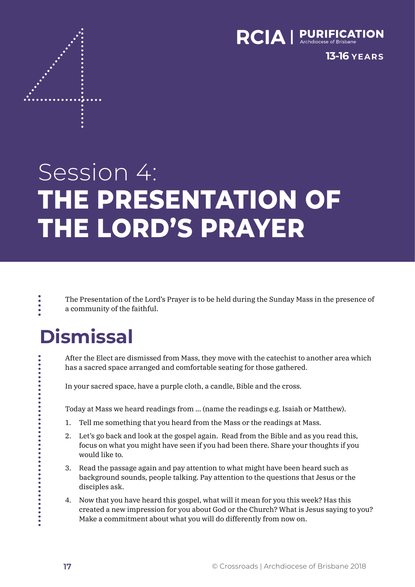

**13-16 YEARS**

# Session 4: **THE PRESENTATION OF THE LORD'S PRAYER**

The Presentation of the Lord's Prayer is to be held during the Sunday Mass in the presence of a community of the faithful.

## **Dismissal**

After the Elect are dismissed from Mass, they move with the catechist to another area which has a sacred space arranged and comfortable seating for those gathered.

In your sacred space, have a purple cloth, a candle, Bible and the cross.

Today at Mass we heard readings from … (name the readings e.g. Isaiah or Matthew).

- 1. Tell me something that you heard from the Mass or the readings at Mass.
- 2. Let's go back and look at the gospel again. Read from the Bible and as you read this, focus on what you might have seen if you had been there. Share your thoughts if you would like to.
- 3. Read the passage again and pay attention to what might have been heard such as background sounds, people talking. Pay attention to the questions that Jesus or the disciples ask.
- 4. Now that you have heard this gospel, what will it mean for you this week? Has this created a new impression for you about God or the Church? What is Jesus saying to you? Make a commitment about what you will do differently from now on.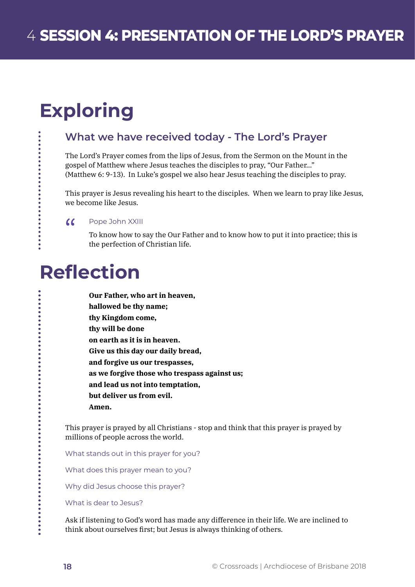## **Exploring**

...........

### **What we have received today - The Lord's Prayer**

The Lord's Prayer comes from the lips of Jesus, from the Sermon on the Mount in the gospel of Matthew where Jesus teaches the disciples to pray, "Our Father…" (Matthew 6: 9-13). In Luke's gospel we also hear Jesus teaching the disciples to pray.

This prayer is Jesus revealing his heart to the disciples. When we learn to pray like Jesus, we become like Jesus.

#### $\alpha$ Pope John XXIII

To know how to say the Our Father and to know how to put it into practice; this is the perfection of Christian life.

### **Reflection**

| Our Father, who art in heaven,               |
|----------------------------------------------|
| hallowed be thy name;                        |
| thy Kingdom come,                            |
| thy will be done                             |
| on earth as it is in heaven.                 |
| Give us this day our daily bread,            |
| and forgive us our trespasses.               |
| as we forgive those who trespass against us; |
| and lead us not into temptation,             |
| but deliver us from evil.                    |
| Amen.                                        |

This prayer is prayed by all Christians - stop and think that this prayer is prayed by millions of people across the world.

What stands out in this prayer for you?

What does this prayer mean to you?

Why did Jesus choose this prayer?

What is dear to Jesus?

Ask if listening to God's word has made any difference in their life. We are inclined to think about ourselves first; but Jesus is always thinking of others.